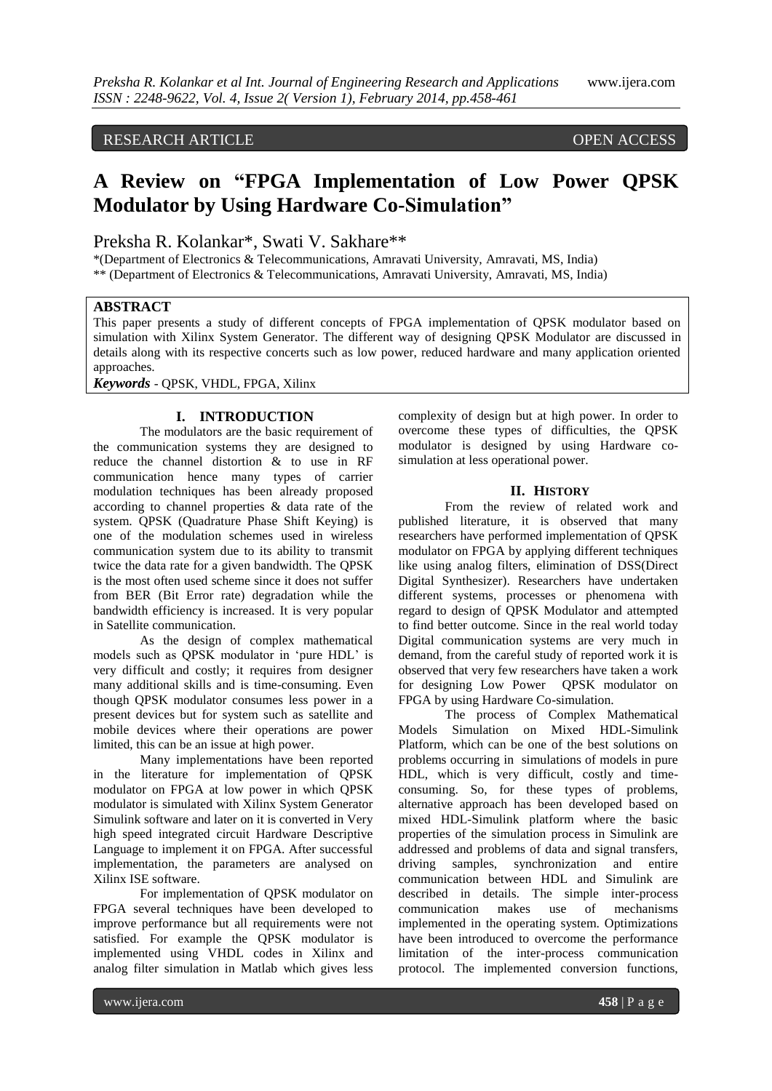## RESEARCH ARTICLE OPEN ACCESS

# **A Review on "FPGA Implementation of Low Power QPSK Modulator by Using Hardware Co-Simulation"**

## Preksha R. Kolankar\*, Swati V. Sakhare\*\*

\*(Department of Electronics & Telecommunications, Amravati University, Amravati, MS, India) \*\* (Department of Electronics & Telecommunications, Amravati University, Amravati, MS, India)

### **ABSTRACT**

This paper presents a study of different concepts of FPGA implementation of QPSK modulator based on simulation with Xilinx System Generator. The different way of designing QPSK Modulator are discussed in details along with its respective concerts such as low power, reduced hardware and many application oriented approaches.

*Keywords* - QPSK, VHDL, FPGA, Xilinx

### **I. INTRODUCTION**

The modulators are the basic requirement of the communication systems they are designed to reduce the channel distortion & to use in RF communication hence many types of carrier modulation techniques has been already proposed according to channel properties & data rate of the system. QPSK (Quadrature Phase Shift Keying) is one of the modulation schemes used in wireless communication system due to its ability to transmit twice the data rate for a given bandwidth. The QPSK is the most often used scheme since it does not suffer from BER (Bit Error rate) degradation while the bandwidth efficiency is increased. It is very popular in Satellite communication.

As the design of complex mathematical models such as QPSK modulator in "pure HDL" is very difficult and costly; it requires from designer many additional skills and is time-consuming. Even though QPSK modulator consumes less power in a present devices but for system such as satellite and mobile devices where their operations are power limited, this can be an issue at high power.

Many implementations have been reported in the literature for implementation of QPSK modulator on FPGA at low power in which QPSK modulator is simulated with Xilinx System Generator Simulink software and later on it is converted in Very high speed integrated circuit Hardware Descriptive Language to implement it on FPGA. After successful implementation, the parameters are analysed on Xilinx ISE software.

For implementation of QPSK modulator on FPGA several techniques have been developed to improve performance but all requirements were not satisfied. For example the QPSK modulator is implemented using VHDL codes in Xilinx and analog filter simulation in Matlab which gives less

complexity of design but at high power. In order to overcome these types of difficulties, the QPSK modulator is designed by using Hardware cosimulation at less operational power.

#### **II. HISTORY**

From the review of related work and published literature, it is observed that many researchers have performed implementation of QPSK modulator on FPGA by applying different techniques like using analog filters, elimination of DSS(Direct Digital Synthesizer). Researchers have undertaken different systems, processes or phenomena with regard to design of QPSK Modulator and attempted to find better outcome. Since in the real world today Digital communication systems are very much in demand, from the careful study of reported work it is observed that very few researchers have taken a work for designing Low Power QPSK modulator on FPGA by using Hardware Co-simulation.

The process of Complex Mathematical Models Simulation on Mixed HDL-Simulink Platform, which can be one of the best solutions on problems occurring in simulations of models in pure HDL, which is very difficult, costly and timeconsuming. So, for these types of problems, alternative approach has been developed based on mixed HDL-Simulink platform where the basic properties of the simulation process in Simulink are addressed and problems of data and signal transfers, driving samples, synchronization and entire communication between HDL and Simulink are described in details. The simple inter-process communication makes use of mechanisms implemented in the operating system. Optimizations have been introduced to overcome the performance limitation of the inter-process communication protocol. The implemented conversion functions,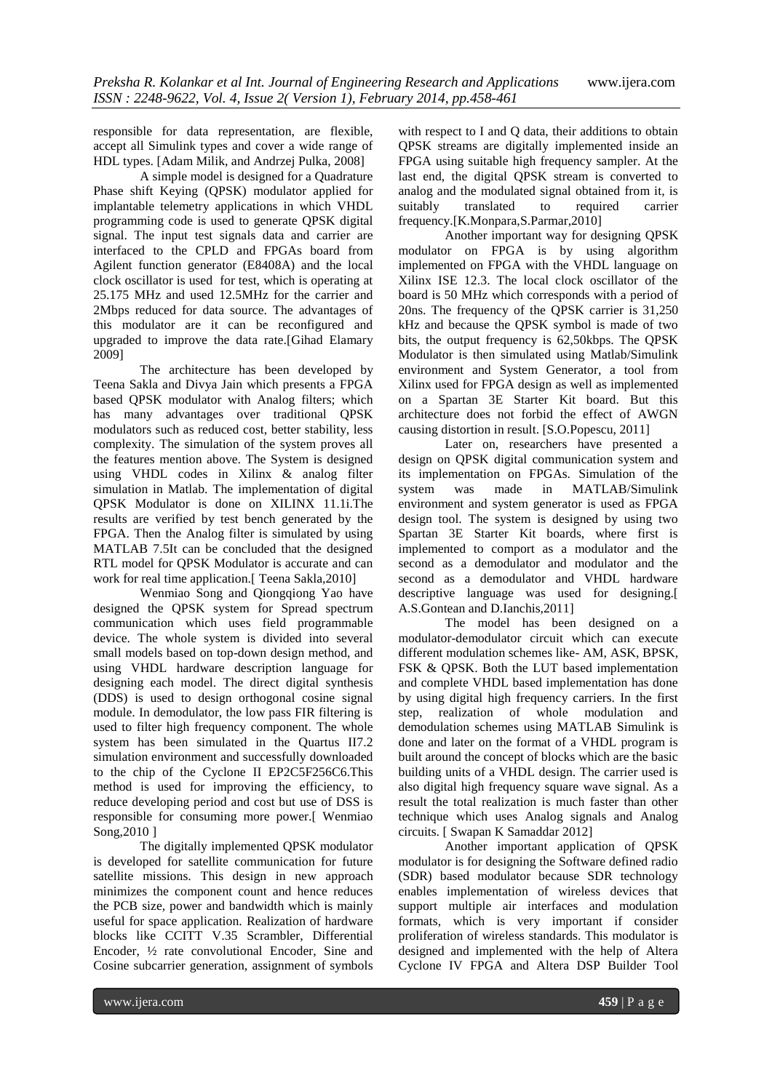responsible for data representation, are flexible, accept all Simulink types and cover a wide range of HDL types. [Adam Milik, and Andrzej Pulka, 2008]

A simple model is designed for a Quadrature Phase shift Keying (QPSK) modulator applied for implantable telemetry applications in which VHDL programming code is used to generate QPSK digital signal. The input test signals data and carrier are interfaced to the CPLD and FPGAs board from Agilent function generator (E8408A) and the local clock oscillator is used for test, which is operating at 25.175 MHz and used 12.5MHz for the carrier and 2Mbps reduced for data source. The advantages of this modulator are it can be reconfigured and upgraded to improve the data rate.[Gihad Elamary 2009]

The architecture has been developed by Teena Sakla and Divya Jain which presents a FPGA based QPSK modulator with Analog filters; which has many advantages over traditional QPSK modulators such as reduced cost, better stability, less complexity. The simulation of the system proves all the features mention above. The System is designed using VHDL codes in Xilinx & analog filter simulation in Matlab. The implementation of digital QPSK Modulator is done on XILINX 11.1i.The results are verified by test bench generated by the FPGA. Then the Analog filter is simulated by using MATLAB 7.5It can be concluded that the designed RTL model for QPSK Modulator is accurate and can work for real time application.[ Teena Sakla,2010]

Wenmiao Song and Qiongqiong Yao have designed the QPSK system for Spread spectrum communication which uses field programmable device. The whole system is divided into several small models based on top-down design method, and using VHDL hardware description language for designing each model. The direct digital synthesis (DDS) is used to design orthogonal cosine signal module. In demodulator, the low pass FIR filtering is used to filter high frequency component. The whole system has been simulated in the Quartus II7.2 simulation environment and successfully downloaded to the chip of the Cyclone II EP2C5F256C6.This method is used for improving the efficiency, to reduce developing period and cost but use of DSS is responsible for consuming more power.[ Wenmiao Song,2010 ]

The digitally implemented QPSK modulator is developed for satellite communication for future satellite missions. This design in new approach minimizes the component count and hence reduces the PCB size, power and bandwidth which is mainly useful for space application. Realization of hardware blocks like CCITT V.35 Scrambler, Differential Encoder, ½ rate convolutional Encoder, Sine and Cosine subcarrier generation, assignment of symbols

with respect to I and Q data, their additions to obtain QPSK streams are digitally implemented inside an FPGA using suitable high frequency sampler. At the last end, the digital QPSK stream is converted to analog and the modulated signal obtained from it, is suitably translated to required carrier frequency.[K.Monpara,S.Parmar,2010]

Another important way for designing QPSK modulator on FPGA is by using algorithm implemented on FPGA with the VHDL language on Xilinx ISE 12.3. The local clock oscillator of the board is 50 MHz which corresponds with a period of 20ns. The frequency of the QPSK carrier is 31,250 kHz and because the QPSK symbol is made of two bits, the output frequency is 62,50kbps. The QPSK Modulator is then simulated using Matlab/Simulink environment and System Generator, a tool from Xilinx used for FPGA design as well as implemented on a Spartan 3E Starter Kit board. But this architecture does not forbid the effect of AWGN causing distortion in result. [S.O.Popescu, 2011]

Later on, researchers have presented a design on QPSK digital communication system and its implementation on FPGAs. Simulation of the system was made in MATLAB/Simulink environment and system generator is used as FPGA design tool. The system is designed by using two Spartan 3E Starter Kit boards, where first is implemented to comport as a modulator and the second as a demodulator and modulator and the second as a demodulator and VHDL hardware descriptive language was used for designing.[ A.S.Gontean and D.Ianchis,2011]

The model has been designed on a modulator-demodulator circuit which can execute different modulation schemes like- AM, ASK, BPSK, FSK & QPSK. Both the LUT based implementation and complete VHDL based implementation has done by using digital high frequency carriers. In the first step, realization of whole modulation and demodulation schemes using MATLAB Simulink is done and later on the format of a VHDL program is built around the concept of blocks which are the basic building units of a VHDL design. The carrier used is also digital high frequency square wave signal. As a result the total realization is much faster than other technique which uses Analog signals and Analog circuits. [ Swapan K Samaddar 2012]

Another important application of QPSK modulator is for designing the Software defined radio (SDR) based modulator because SDR technology enables implementation of wireless devices that support multiple air interfaces and modulation formats, which is very important if consider proliferation of wireless standards. This modulator is designed and implemented with the help of Altera Cyclone IV FPGA and Altera DSP Builder Tool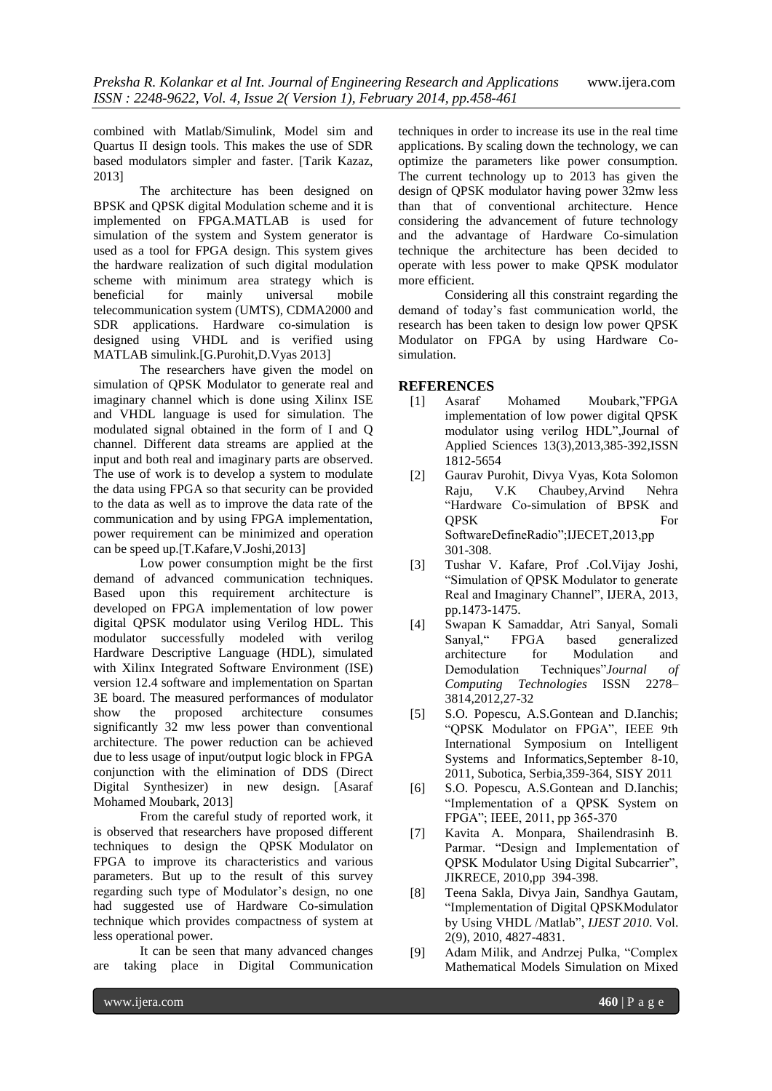combined with Matlab/Simulink, Model sim and Quartus II design tools. This makes the use of SDR based modulators simpler and faster. [Tarik Kazaz, 2013]

The architecture has been designed on BPSK and QPSK digital Modulation scheme and it is implemented on FPGA.MATLAB is used for simulation of the system and System generator is used as a tool for FPGA design. This system gives the hardware realization of such digital modulation scheme with minimum area strategy which is beneficial for mainly universal mobile telecommunication system (UMTS), CDMA2000 and SDR applications. Hardware co-simulation is designed using VHDL and is verified using MATLAB simulink.[G.Purohit,D.Vyas 2013]

The researchers have given the model on simulation of QPSK Modulator to generate real and imaginary channel which is done using Xilinx ISE and VHDL language is used for simulation. The modulated signal obtained in the form of I and Q channel. Different data streams are applied at the input and both real and imaginary parts are observed. The use of work is to develop a system to modulate the data using FPGA so that security can be provided to the data as well as to improve the data rate of the communication and by using FPGA implementation, power requirement can be minimized and operation can be speed up.[T.Kafare,V.Joshi,2013]

Low power consumption might be the first demand of advanced communication techniques. Based upon this requirement architecture is developed on FPGA implementation of low power digital QPSK modulator using Verilog HDL. This modulator successfully modeled with verilog Hardware Descriptive Language (HDL), simulated with Xilinx Integrated Software Environment (ISE) version 12.4 software and implementation on Spartan 3E board. The measured performances of modulator show the proposed architecture consumes significantly 32 mw less power than conventional architecture. The power reduction can be achieved due to less usage of input/output logic block in FPGA conjunction with the elimination of DDS (Direct Digital Synthesizer) in new design. [Asaraf Mohamed Moubark, 2013]

From the careful study of reported work, it is observed that researchers have proposed different techniques to design the QPSK Modulator on FPGA to improve its characteristics and various parameters. But up to the result of this survey regarding such type of Modulator's design, no one had suggested use of Hardware Co-simulation technique which provides compactness of system at less operational power.

It can be seen that many advanced changes are taking place in Digital Communication

techniques in order to increase its use in the real time applications. By scaling down the technology, we can optimize the parameters like power consumption. The current technology up to 2013 has given the design of QPSK modulator having power 32mw less than that of conventional architecture. Hence considering the advancement of future technology and the advantage of Hardware Co-simulation technique the architecture has been decided to operate with less power to make QPSK modulator more efficient.

Considering all this constraint regarding the demand of today"s fast communication world, the research has been taken to design low power QPSK Modulator on FPGA by using Hardware Cosimulation.

#### **REFERENCES**

- [1] Asaraf Mohamed Moubark,"FPGA implementation of low power digital QPSK modulator using verilog HDL",Journal of Applied Sciences 13(3),2013,385-392,ISSN 1812-5654
- [2] Gaurav Purohit, Divya Vyas, Kota Solomon Raju, V.K Chaubey,Arvind Nehra "Hardware Co-simulation of BPSK and OPSK For SoftwareDefineRadio";IJECET,2013,pp 301-308.
- [3] Tushar V. Kafare, Prof .Col.Vijay Joshi, "Simulation of QPSK Modulator to generate Real and Imaginary Channel", IJERA, 2013, pp.1473-1475.
- [4] Swapan K Samaddar, Atri Sanyal, Somali Sanyal," FPGA based generalized architecture for Modulation and Demodulation Techniques"*Journal of Computing Technologies* ISSN 2278– 3814,2012,27-32
- [5] S.O. Popescu, A.S.Gontean and D.Ianchis; "QPSK Modulator on FPGA", IEEE 9th International Symposium on Intelligent Systems and Informatics,September 8-10, 2011, Subotica, Serbia,359-364, SISY 2011
- [6] S.O. Popescu, A.S. Gontean and D. Ianchis; "Implementation of a QPSK System on FPGA"; IEEE, 2011, pp 365-370
- [7] Kavita A. Monpara, Shailendrasinh B. Parmar. "Design and Implementation of QPSK Modulator Using Digital Subcarrier", JIKRECE, 2010,pp 394-398.
- [8] Teena Sakla, Divya Jain, Sandhya Gautam, "Implementation of Digital QPSKModulator by Using VHDL /Matlab", *IJEST 2010*. Vol. 2(9), 2010, 4827-4831.
- [9] Adam Milik, and Andrzej Pulka, "Complex Mathematical Models Simulation on Mixed